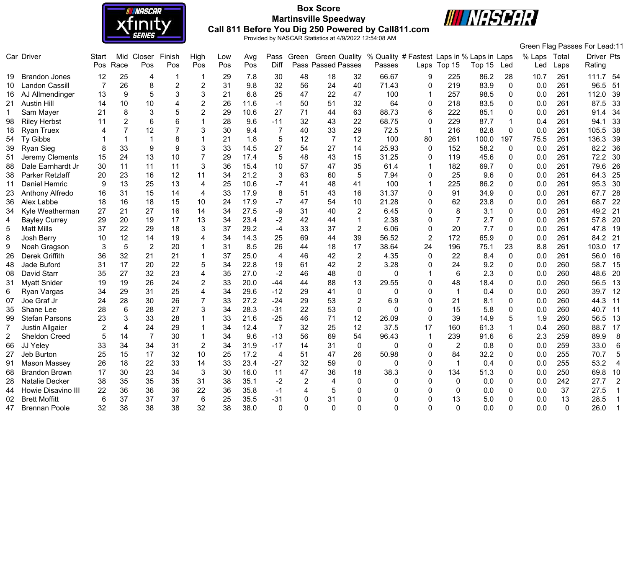

# **Box Score Martinsville Speedway Call 811 Before You Dig 250 Powered by Call811.com**



Green Flag Passes For Lead:11

|                | Car Driver            | Start | Mid                     | Closer         | Finish         | High           | Low | Avg  | Pass           | Green          | <b>Green Quality</b> |                | % Quality # Fastest Laps in % Laps in Laps |                |                |        |              | % Laps | Total    | Driver Pts             |  |
|----------------|-----------------------|-------|-------------------------|----------------|----------------|----------------|-----|------|----------------|----------------|----------------------|----------------|--------------------------------------------|----------------|----------------|--------|--------------|--------|----------|------------------------|--|
|                |                       | Pos   | Race                    | Pos            | Pos            | Pos            | Pos | Pos  | <b>Diff</b>    |                | Pass Passed Passes   |                | Passes                                     |                | Laps Top 15    | Top 15 | Led          | Led    | Laps     | Rating                 |  |
|                | 19 Brandon Jones      | 12    | 25                      | 4              | -1             | 1              | 29  | 7.8  | 30             | 48             | 18                   | 32             | 66.67                                      | 9              | 225            | 86.2   | 28           | 10.7   | 261      | 111.7 54               |  |
| 10             | <b>Landon Cassill</b> | 7     | 26                      | 8              | $\overline{2}$ | $\overline{2}$ | 31  | 9.8  | 32             | 56             | 24                   | 40             | 71.43                                      | 0              | 219            | 83.9   | $\mathbf{0}$ | 0.0    | 261      | 96.5<br>51             |  |
| 16             | AJ Allmendinger       | 13    | 9                       | 5              | 3              | 3              | 21  | 6.8  | 25             | 47             | 22                   | 47             | 100                                        |                | 257            | 98.5   | $\Omega$     | 0.0    | 261      | 112.0<br>39            |  |
| 21             | <b>Austin Hill</b>    | 14    | 10                      | 10             | 4              | $\overline{2}$ | 26  | 11.6 | $-1$           | 50             | 51                   | 32             | 64                                         | $\mathbf 0$    | 218            | 83.5   | $\Omega$     | 0.0    | 261      | 87.5<br>33             |  |
| 1.             | Sam Mayer             | 21    | 8                       | 3              |                | $\overline{2}$ | 29  | 10.6 | 27             | 71             | 44                   | 63             | 88.73                                      | 6              | 222            | 85.1   | 0            | 0.0    | 261      | 34<br>91.4             |  |
| 98             | <b>Riley Herbst</b>   | 11    | $\overline{2}$          | 6              |                | 1              | 28  | 9.6  | $-11$          | 32             | 43                   | 22             | 68.75                                      | $\mathbf 0$    | 229            | 87.7   |              | 0.4    | 261      | 94.1<br>33             |  |
| 18             | <b>Ryan Truex</b>     | Δ     | 7                       | 12             |                | 3              | 30  | 9.4  | $\overline{7}$ | 40             | 33                   | 29             | 72.5                                       | $\overline{1}$ | 216            | 82.8   | $\Omega$     | 0.0    | 261      | 105.5<br>-38           |  |
| 54             | Ty Gibbs              |       | $\overline{\mathbf{1}}$ | $\mathbf 1$    | 8              | 1              | 21  | 1.8  | 5              | 12             | 7                    | 12             | 100                                        | 80             | 261            | 100.0  | 197          | 75.5   | 261      | 136.3<br>39            |  |
| 39             | Ryan Sieg             | 8     | 33                      | $9\,$          | 9              | 3              | 33  | 14.5 | 27             | 54             | 27                   | 14             | 25.93                                      | $\mathbf{0}$   | 152            | 58.2   | $\mathbf{0}$ | 0.0    | 261      | 82.2<br>36             |  |
| 51             | Jeremy Clements       | 15    | 24                      | 13             | 10             |                | 29  | 17.4 | 5              | 48             | 43                   | 15             | 31.25                                      | $\mathbf 0$    | 119            | 45.6   | $\Omega$     | 0.0    | 261      | 72.2<br>30             |  |
| 88             | Dale Earnhardt Jr     | 30    | 11                      | 11             | 11             | 3              | 36  | 15.4 | 10             | 57             | 47                   | 35             | 61.4                                       |                | 182            | 69.7   | $\Omega$     | 0.0    | 261      | 79.6<br>26             |  |
| 38             | Parker Retzlaff       | 20    | 23                      | 16             | 12             | 11             | 34  | 21.2 | 3              | 63             | 60                   | 5              | 7.94                                       | $\Omega$       | 25             | 9.6    | 0            | 0.0    | 261      | 64.3<br>25             |  |
| 11             | Daniel Hemric         | 9     | 13                      | 25             | 13             | 4              | 25  | 10.6 | -7             | 41             | 48                   | 41             | 100                                        | $\overline{1}$ | 225            | 86.2   | 0            | 0.0    | 261      | 95.3<br>30             |  |
| 23             | Anthony Alfredo       | 16    | 31                      | 15             | 14             | 4              | 33  | 17.9 | 8              | 51             | 43                   | 16             | 31.37                                      | $\mathbf{0}$   | 91             | 34.9   | 0            | 0.0    | 261      | 28<br>67.7             |  |
| 36             | Alex Labbe            | 18    | 16                      | 18             | 15             | 10             | 24  | 17.9 | -7             | 47             | 54                   | 10             | 21.28                                      | $\Omega$       | 62             | 23.8   | $\Omega$     | 0.0    | 261      | 68.7<br>22             |  |
| 34             | Kyle Weatherman       | 27    | 21                      | 27             | 16             | 14             | 34  | 27.5 | -9             | 31             | 40                   | $\overline{2}$ | 6.45                                       | 0              | 8              | 3.1    | 0            | 0.0    | 261      | 49.2<br>21             |  |
|                | <b>Bayley Currey</b>  | 29    | 20                      | 19             | 17             | 13             | 34  | 23.4 | $-2$           | 42             | 44                   | $\mathbf{1}$   | 2.38                                       | $\Omega$       | $\overline{7}$ | 2.7    | $\Omega$     | 0.0    | 261      | 57.8<br>20             |  |
| 5              | <b>Matt Mills</b>     | 37    | 22                      | 29             | 18             | 3              | 37  | 29.2 | $-4$           | 33             | 37                   | $\overline{2}$ | 6.06                                       | $\Omega$       | 20             | 7.7    | 0            | 0.0    | 261      | 47.8<br>19             |  |
| 8              | Josh Berry            | 10    | 12                      | 14             | 19             | 4              | 34  | 14.3 | 25             | 69             | 44                   | 39             | 56.52                                      | 2              | 172            | 65.9   | $\mathbf{0}$ | 0.0    | 261      | 84.2 21                |  |
| 9              | Noah Gragson          | 3     | 5                       | $\overline{2}$ | 20             |                | 31  | 8.5  | 26             | 44             | 18                   | 17             | 38.64                                      | 24             | 196            | 75.1   | 23           | 8.8    | 261      | 103.0<br>17            |  |
| 26             | Derek Griffith        | 36    | 32                      | 21             | 21             |                | 37  | 25.0 | 4              | 46             | 42                   | $\overline{2}$ | 4.35                                       | $\Omega$       | 22             | 8.4    | 0            | 0.0    | 261      | 56.0<br>16             |  |
| 48             | Jade Buford           | 31    | 17                      | 20             | 22             | 5              | 34  | 22.8 | 19             | 61             | 42                   | $\overline{2}$ | 3.28                                       | $\Omega$       | 24             | 9.2    | $\Omega$     | 0.0    | 260      | 58.7<br>15             |  |
| 08             | David Starr           | 35    | 27                      | 32             | 23             | 4              | 35  | 27.0 | $-2$           | 46             | 48                   | $\mathbf{0}$   | $\Omega$                                   |                | 6              | 2.3    | 0            | 0.0    | 260      | 48.6<br>20             |  |
| 31             | <b>Myatt Snider</b>   | 19    | 19                      | 26             | 24             | 2              | 33  | 20.0 | $-44$          | 44             | 88                   | 13             | 29.55                                      | $\Omega$       | 48             | 18.4   | 0            | 0.0    | 260      | 56.5<br>13             |  |
| 6              | Ryan Vargas           | 34    | 29                      | 31             | 25             | 4              | 34  | 29.6 | $-12$          | 29             | 41                   | $\mathbf 0$    | $\Omega$                                   | $\mathbf 0$    | $\mathbf{1}$   | 0.4    | 0            | 0.0    | 260      | 39.7<br>12             |  |
| 07             | Joe Graf Jr           | 24    | 28                      | 30             | 26             | $\overline{7}$ | 33  | 27.2 | $-24$          | 29             | 53                   | $\overline{2}$ | 6.9                                        | $\Omega$       | 21             | 8.1    | $\Omega$     | 0.0    | 260      | 44.3<br>11             |  |
| 35             | Shane Lee             | 28    | 6                       | 28             | 27             | 3              | 34  | 28.3 | $-31$          | 22             | 53                   | $\mathbf 0$    | $\Omega$                                   | $\Omega$       | 15             | 5.8    | 0            | 0.0    | 260      | 40.7<br>11             |  |
| 99             | <b>Stefan Parsons</b> | 23    | 3                       | 33             | 28             |                | 33  | 21.6 | $-25$          | 46             | 71                   | 12             | 26.09                                      | $\Omega$       | 39             | 14.9   |              | 1.9    | 260      | 56.5<br>13             |  |
| 7              | Justin Allgaier       |       | $\overline{4}$          | 24             | 29             |                | 34  | 12.4 | $\overline{7}$ | 32             | 25                   | 12             | 37.5                                       | 17             | 160            | 61.3   |              | 0.4    | 260      | 17<br>88.7             |  |
| $\overline{2}$ | <b>Sheldon Creed</b>  | 5     | 14                      | $\overline{7}$ | 30             | $\mathbf{1}$   | 34  | 9.6  | $-13$          | 56             | 69                   | 54             | 96.43                                      | $\mathbf{1}$   | 239            | 91.6   | 6            | 2.3    | 259      | 89.9<br>8              |  |
| 66             | JJ Yeley              | 33    | 34                      | 34             | 31             | $\overline{2}$ | 34  | 31.9 | $-17$          | 14             | 31                   | $\pmb{0}$      | $\Omega$                                   | 0              | $\overline{2}$ | 0.8    | 0            | 0.0    | 259      | 33.0<br>6              |  |
| 27             | Jeb Burton            | 25    | 15                      | 17             | 32             | 10             | 25  | 17.2 | $\overline{4}$ | 51             | 47                   | 26             | 50.98                                      | $\Omega$       | 84             | 32.2   | 0            | 0.0    | 255      | 70.7<br>$\sqrt{5}$     |  |
| 91             | Mason Massey          | 26    | 18                      | 22             | 33             | 14             | 33  | 23.4 | $-27$          | 32             | 59                   | $\mathbf 0$    | $\Omega$                                   | $\Omega$       | $\mathbf 1$    | 0.4    | 0            | 0.0    | 255      | 53.2<br>$\overline{4}$ |  |
| 68             | <b>Brandon Brown</b>  | 17    | 30                      | 23             | 34             | 3              | 30  | 16.0 | 11             | 47             | 36                   | 18             | 38.3                                       | $\mathbf{0}$   | 134            | 51.3   | 0            | 0.0    | 250      | 69.8<br>10             |  |
| 28             | Natalie Decker        | 38    | 35                      | 35             | 35             | 31             | 38  | 35.1 | $-2$           | $\overline{2}$ | 4                    | $\Omega$       | 0                                          | $\Omega$       | 0              | 0.0    | 0            | 0.0    | 242      | 27.7<br>$\overline{2}$ |  |
| 44             | Howie Disavino III    | 22    | 36                      | 36             | 36             | 22             | 36  | 35.8 | $-1$           | 4              | 5                    | ∩              | ∩                                          | ∩              | 0              | 0.0    | 0            | 0.0    | 37       | 27.5<br>-1             |  |
| 02             | <b>Brett Moffitt</b>  | 6     | 37                      | 37             | 37             | $6\phantom{1}$ | 25  | 35.5 | $-31$          | $\Omega$       | 31                   | $\Omega$       | 0                                          | $\Omega$       | 13             | 5.0    | 0            | 0.0    | 13       | 28.5                   |  |
| 47             | <b>Brennan Poole</b>  | 32    | 38                      | 38             | 38             | 32             | 38  | 38.0 | $\Omega$       | O              | $\Omega$             | $\Omega$       | $\Omega$                                   | $\Omega$       | $\Omega$       | 0.0    |              | 0.0    | $\Omega$ | 26.0                   |  |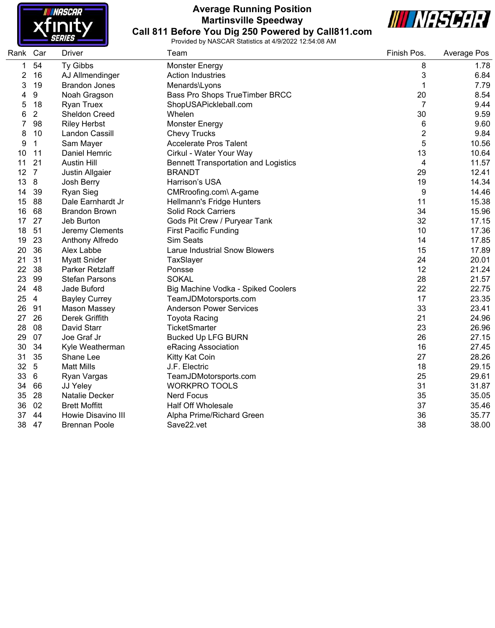

## **Average Running Position Martinsville Speedway Call 811 Before You Dig 250 Powered by Call811.com**



| Rank         | Car             | <b>Driver</b>         | Team                                        | Finish Pos.             | Average Pos |
|--------------|-----------------|-----------------------|---------------------------------------------|-------------------------|-------------|
| $\mathbf{1}$ | 54              | Ty Gibbs              | <b>Monster Energy</b>                       | 8                       | 1.78        |
| 2            | 16              | AJ Allmendinger       | <b>Action Industries</b>                    | 3                       | 6.84        |
| 3            | 19              | <b>Brandon Jones</b>  | Menards\Lyons                               | 1                       | 7.79        |
| 4            | 9               | Noah Gragson          | Bass Pro Shops TrueTimber BRCC              | 20                      | 8.54        |
| 5            | 18              | <b>Ryan Truex</b>     | ShopUSAPickleball.com                       | $\overline{7}$          | 9.44        |
| 6            | 2               | Sheldon Creed         | Whelen                                      | 30                      | 9.59        |
| 7            | 98              | <b>Riley Herbst</b>   | <b>Monster Energy</b>                       | 6                       | 9.60        |
| 8            | 10              | Landon Cassill        | <b>Chevy Trucks</b>                         | $\overline{\mathbf{c}}$ | 9.84        |
| 9            | $\mathbf{1}$    | Sam Mayer             | <b>Accelerate Pros Talent</b>               | 5                       | 10.56       |
| 10           | 11              | Daniel Hemric         | Cirkul - Water Your Way                     | 13                      | 10.64       |
| 11           | 21              | <b>Austin Hill</b>    | <b>Bennett Transportation and Logistics</b> | 4                       | 11.57       |
| 12           | $\overline{7}$  | Justin Allgaier       | <b>BRANDT</b>                               | 29                      | 12.41       |
| 13           | 8               | Josh Berry            | Harrison's USA                              | 19                      | 14.34       |
| 14           | 39              | Ryan Sieg             | CMRroofing.com\ A-game                      | 9                       | 14.46       |
| 15           | 88              | Dale Earnhardt Jr     | Hellmann's Fridge Hunters                   | 11                      | 15.38       |
| 16           | 68              | <b>Brandon Brown</b>  | <b>Solid Rock Carriers</b>                  | 34                      | 15.96       |
| 17           | 27              | Jeb Burton            | Gods Pit Crew / Puryear Tank                | 32                      | 17.15       |
| 18           | 51              | Jeremy Clements       | <b>First Pacific Funding</b>                | 10                      | 17.36       |
| 19           | 23              | Anthony Alfredo       | Sim Seats                                   | 14                      | 17.85       |
| 20           | 36              | Alex Labbe            | <b>Larue Industrial Snow Blowers</b>        | 15                      | 17.89       |
| 21           | 31              | <b>Myatt Snider</b>   | TaxSlayer                                   | 24                      | 20.01       |
| 22           | 38              | Parker Retzlaff       | Ponsse                                      | 12                      | 21.24       |
| 23           | 99              | <b>Stefan Parsons</b> | <b>SOKAL</b>                                | 28                      | 21.57       |
| 24           | 48              | Jade Buford           | Big Machine Vodka - Spiked Coolers          | 22                      | 22.75       |
| 25           | $\overline{4}$  | <b>Bayley Currey</b>  | TeamJDMotorsports.com                       | 17                      | 23.35       |
| 26           | 91              | <b>Mason Massey</b>   | <b>Anderson Power Services</b>              | 33                      | 23.41       |
| 27           | 26              | Derek Griffith        | <b>Toyota Racing</b>                        | 21                      | 24.96       |
| 28           | 08              | David Starr           | <b>TicketSmarter</b>                        | 23                      | 26.96       |
| 29           | 07              | Joe Graf Jr           | <b>Bucked Up LFG BURN</b>                   | 26                      | 27.15       |
| 30           | 34              | Kyle Weatherman       | eRacing Association                         | 16                      | 27.45       |
| 31           | 35              | Shane Lee             | Kitty Kat Coin                              | 27                      | 28.26       |
| 32           | $5\phantom{.0}$ | <b>Matt Mills</b>     | J.F. Electric                               | 18                      | 29.15       |
| 33           | 6               | Ryan Vargas           | TeamJDMotorsports.com                       | 25                      | 29.61       |
| 34           | 66              | JJ Yeley              | <b>WORKPRO TOOLS</b>                        | 31                      | 31.87       |
| 35           | 28              | Natalie Decker        | <b>Nerd Focus</b>                           | 35                      | 35.05       |
| 36           | 02              | <b>Brett Moffitt</b>  | <b>Half Off Wholesale</b>                   | 37                      | 35.46       |
| 37           | 44              | Howie Disavino III    | Alpha Prime/Richard Green                   | 36                      | 35.77       |
| 38           | 47              | <b>Brennan Poole</b>  | Save22.vet                                  | 38                      | 38.00       |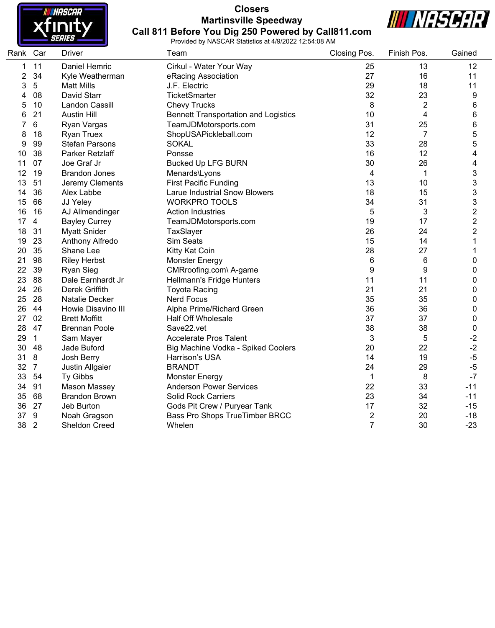

#### **Closers Martinsville Speedway Call 811 Before You Dig 250 Powered by Call811.com**



| Rank Car |                | Driver                | Team                                        | Closing Pos.   | Finish Pos.    | Gained         |
|----------|----------------|-----------------------|---------------------------------------------|----------------|----------------|----------------|
| 1        | 11             | Daniel Hemric         | Cirkul - Water Your Way                     | 25             | 13             | 12             |
| 2        | 34             | Kyle Weatherman       | eRacing Association                         | 27             | 16             | 11             |
| 3        | 5              | <b>Matt Mills</b>     | J.F. Electric                               | 29             | 18             | 11             |
| 4        | 08             | David Starr           | TicketSmarter                               | 32             | 23             | 9              |
| 5        | 10             | Landon Cassill        | <b>Chevy Trucks</b>                         | 8              | $\overline{2}$ | 6              |
| 6        | 21             | <b>Austin Hill</b>    | <b>Bennett Transportation and Logistics</b> | 10             | 4              | 6              |
| 7        | $6\phantom{1}$ | Ryan Vargas           | TeamJDMotorsports.com                       | 31             | 25             | 6              |
| 8        | 18             | <b>Ryan Truex</b>     | ShopUSAPickleball.com                       | 12             | $\overline{7}$ | 5              |
| 9        | 99             | <b>Stefan Parsons</b> | <b>SOKAL</b>                                | 33             | 28             | 5              |
| 10       | 38             | Parker Retzlaff       | Ponsse                                      | 16             | 12             | 4              |
| 11       | 07             | Joe Graf Jr           | <b>Bucked Up LFG BURN</b>                   | 30             | 26             | 4              |
| 12       | 19             | <b>Brandon Jones</b>  | Menards\Lyons                               | 4              | $\mathbf 1$    | 3              |
| 13       | 51             | Jeremy Clements       | <b>First Pacific Funding</b>                | 13             | 10             | 3              |
| 14       | 36             | Alex Labbe            | <b>Larue Industrial Snow Blowers</b>        | 18             | 15             | 3              |
| 15       | 66             | JJ Yeley              | <b>WORKPRO TOOLS</b>                        | 34             | 31             | 3              |
| 16       | 16             | AJ Allmendinger       | <b>Action Industries</b>                    | 5              | 3              | $\overline{c}$ |
| 17       | $\overline{4}$ | <b>Bayley Currey</b>  | TeamJDMotorsports.com                       | 19             | 17             | $\overline{2}$ |
| 18       | 31             | <b>Myatt Snider</b>   | TaxSlayer                                   | 26             | 24             | $\overline{2}$ |
| 19       | 23             | Anthony Alfredo       | Sim Seats                                   | 15             | 14             | 1              |
| 20       | 35             | Shane Lee             | Kitty Kat Coin                              | 28             | 27             | 1              |
| 21       | 98             | <b>Riley Herbst</b>   | <b>Monster Energy</b>                       | 6              | 6              | 0              |
| 22       | 39             | <b>Ryan Sieg</b>      | CMRroofing.com\ A-game                      | 9              | 9              | 0              |
| 23       | 88             | Dale Earnhardt Jr     | Hellmann's Fridge Hunters                   | 11             | 11             | 0              |
| 24       | 26             | Derek Griffith        | <b>Toyota Racing</b>                        | 21             | 21             | 0              |
| 25       | 28             | <b>Natalie Decker</b> | <b>Nerd Focus</b>                           | 35             | 35             | 0              |
| 26       | 44             | Howie Disavino III    | Alpha Prime/Richard Green                   | 36             | 36             | 0              |
| 27       | 02             | <b>Brett Moffitt</b>  | <b>Half Off Wholesale</b>                   | 37             | 37             | 0              |
| 28       | 47             | <b>Brennan Poole</b>  | Save22.vet                                  | 38             | 38             | $\pmb{0}$      |
| 29       | $\mathbf{1}$   | Sam Mayer             | <b>Accelerate Pros Talent</b>               | 3              | 5              | $-2$           |
| 30       | 48             | Jade Buford           | Big Machine Vodka - Spiked Coolers          | 20             | 22             | $-2$           |
| 31       | 8              | Josh Berry            | Harrison's USA                              | 14             | 19             | $-5$           |
| 32       | $\overline{7}$ | Justin Allgaier       | <b>BRANDT</b>                               | 24             | 29             | $-5$           |
| 33       | 54             | Ty Gibbs              | <b>Monster Energy</b>                       | 1              | 8              | $-7$           |
| 34       | 91             | Mason Massey          | <b>Anderson Power Services</b>              | 22             | 33             | $-11$          |
| 35       | 68             | <b>Brandon Brown</b>  | <b>Solid Rock Carriers</b>                  | 23             | 34             | $-11$          |
| 36       | 27             | Jeb Burton            | Gods Pit Crew / Puryear Tank                | 17             | 32             | $-15$          |
| 37       | $9\,$          | Noah Gragson          | Bass Pro Shops TrueTimber BRCC              | $\overline{2}$ | 20             | $-18$          |
| 38       | $\overline{2}$ | Sheldon Creed         | Whelen                                      | $\overline{7}$ | 30             | $-23$          |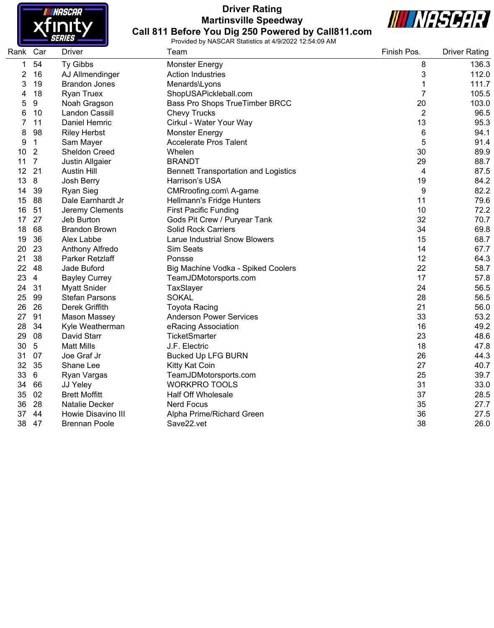

## **Driver Rating Martinsville Speedway Call 811 Before You Dig 250 Powered by Call811.com**



| Rank Car |                  | <b>Driver</b>         | Team                                        | Finish Pos.    | <b>Driver Rating</b> |
|----------|------------------|-----------------------|---------------------------------------------|----------------|----------------------|
| 1        | 54               | Ty Gibbs              | <b>Monster Energy</b>                       | 8              | 136.3                |
| 2        | 16               | AJ Allmendinger       | <b>Action Industries</b>                    | 3              | 112.0                |
| 3        | 19               | <b>Brandon Jones</b>  | Menards\Lyons                               | 1              | 111.7                |
| 4        | 18               | <b>Ryan Truex</b>     | ShopUSAPickleball.com                       | $\overline{7}$ | 105.5                |
| 5        | $\boldsymbol{9}$ | Noah Gragson          | Bass Pro Shops TrueTimber BRCC              | 20             | 103.0                |
| 6        | 10               | Landon Cassill        | <b>Chevy Trucks</b>                         | $\overline{2}$ | 96.5                 |
| 7        | 11               | Daniel Hemric         | Cirkul - Water Your Way                     | 13             | 95.3                 |
| 8        | 98               | <b>Riley Herbst</b>   | <b>Monster Energy</b>                       | 6              | 94.1                 |
| 9        | $\mathbf 1$      | Sam Mayer             | <b>Accelerate Pros Talent</b>               | 5              | 91.4                 |
| 10       | $\overline{2}$   | <b>Sheldon Creed</b>  | Whelen                                      | 30             | 89.9                 |
| 11       | 7                | Justin Allgaier       | <b>BRANDT</b>                               | 29             | 88.7                 |
| 12       | 21               | <b>Austin Hill</b>    | <b>Bennett Transportation and Logistics</b> | 4              | 87.5                 |
| 13       | 8                | Josh Berry            | Harrison's USA                              | 19             | 84.2                 |
| 14       | 39               | <b>Ryan Sieg</b>      | CMRroofing.com\ A-game                      | 9              | 82.2                 |
| 15       | 88               | Dale Earnhardt Jr     | Hellmann's Fridge Hunters                   | 11             | 79.6                 |
| 16       | 51               | Jeremy Clements       | <b>First Pacific Funding</b>                | 10             | 72.2                 |
| 17       | 27               | Jeb Burton            | Gods Pit Crew / Puryear Tank                | 32             | 70.7                 |
| 18       | 68               | <b>Brandon Brown</b>  | <b>Solid Rock Carriers</b>                  | 34             | 69.8                 |
| 19       | 36               | Alex Labbe            | <b>Larue Industrial Snow Blowers</b>        | 15             | 68.7                 |
| 20       | 23               | Anthony Alfredo       | Sim Seats                                   | 14             | 67.7                 |
| 21       | 38               | Parker Retzlaff       | Ponsse                                      | 12             | 64.3                 |
| 22       | 48               | Jade Buford           | Big Machine Vodka - Spiked Coolers          | 22             | 58.7                 |
| 23       | $\overline{4}$   | <b>Bayley Currey</b>  | TeamJDMotorsports.com                       | 17             | 57.8                 |
| 24       | 31               | <b>Myatt Snider</b>   | TaxSlayer                                   | 24             | 56.5                 |
| 25       | 99               | <b>Stefan Parsons</b> | <b>SOKAL</b>                                | 28             | 56.5                 |
| 26       | 26               | Derek Griffith        | <b>Toyota Racing</b>                        | 21             | 56.0                 |
| 27       | 91               | Mason Massey          | <b>Anderson Power Services</b>              | 33             | 53.2                 |
| 28       | 34               | Kyle Weatherman       | eRacing Association                         | 16             | 49.2                 |
| 29       | 08               | David Starr           | <b>TicketSmarter</b>                        | 23             | 48.6                 |
| 30       | 5                | <b>Matt Mills</b>     | J.F. Electric                               | 18             | 47.8                 |
| 31       | 07               | Joe Graf Jr           | <b>Bucked Up LFG BURN</b>                   | 26             | 44.3                 |
| 32       | 35               | Shane Lee             | Kitty Kat Coin                              | 27             | 40.7                 |
| 33       | 6                | Ryan Vargas           | TeamJDMotorsports.com                       | 25             | 39.7                 |
| 34       | 66               | JJ Yeley              | <b>WORKPRO TOOLS</b>                        | 31             | 33.0                 |
| 35       | 02               | <b>Brett Moffitt</b>  | <b>Half Off Wholesale</b>                   | 37             | 28.5                 |
| 36       | 28               | <b>Natalie Decker</b> | <b>Nerd Focus</b>                           | 35             | 27.7                 |
| 37       | 44               | Howie Disavino III    | Alpha Prime/Richard Green                   | 36             | 27.5                 |
| 38       | 47               | <b>Brennan Poole</b>  | Save22.vet                                  | 38             | 26.0                 |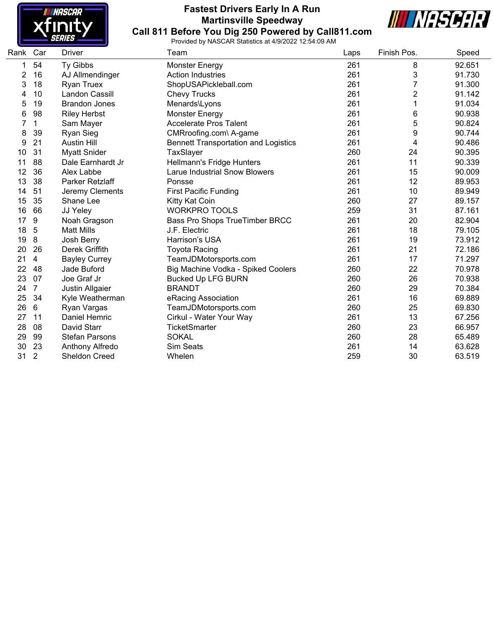

## **Fastest Drivers Early In A Run Martinsville Speedway Call 811 Before You Dig 250 Powered by Call811.com**



| Rank | Car            | Driver                | Team                                        | Laps | Finish Pos.    | Speed  |
|------|----------------|-----------------------|---------------------------------------------|------|----------------|--------|
| 1    | 54             | Ty Gibbs              | <b>Monster Energy</b>                       | 261  | 8              | 92.651 |
| 2    | 16             | AJ Allmendinger       | <b>Action Industries</b>                    | 261  | 3              | 91.730 |
| 3    | 18             | <b>Ryan Truex</b>     | ShopUSAPickleball.com                       | 261  | 7              | 91.300 |
| 4    | 10             | Landon Cassill        | <b>Chevy Trucks</b>                         | 261  | $\overline{2}$ | 91.142 |
| 5    | 19             | <b>Brandon Jones</b>  | Menards\Lyons                               | 261  | 1              | 91.034 |
| 6    | 98             | <b>Riley Herbst</b>   | <b>Monster Energy</b>                       | 261  | 6              | 90.938 |
|      | 1              | Sam Mayer             | Accelerate Pros Talent                      | 261  | 5              | 90.824 |
| 8    | 39             | <b>Ryan Sieg</b>      | CMRroofing.com\ A-game                      | 261  | 9              | 90.744 |
| 9    | 21             | <b>Austin Hill</b>    | <b>Bennett Transportation and Logistics</b> | 261  | 4              | 90.486 |
| 10   | 31             | <b>Myatt Snider</b>   | TaxSlayer                                   | 260  | 24             | 90.395 |
| 11   | 88             | Dale Earnhardt Jr     | Hellmann's Fridge Hunters                   | 261  | 11             | 90.339 |
| 12   | 36             | Alex Labbe            | <b>Larue Industrial Snow Blowers</b>        | 261  | 15             | 90.009 |
| 13   | 38             | Parker Retzlaff       | Ponsse                                      | 261  | 12             | 89.953 |
| 14   | 51             | Jeremy Clements       | <b>First Pacific Funding</b>                | 261  | 10             | 89.949 |
| 15   | 35             | Shane Lee             | Kitty Kat Coin                              | 260  | 27             | 89.157 |
| 16   | 66             | JJ Yeley              | <b>WORKPRO TOOLS</b>                        | 259  | 31             | 87.161 |
| 17   | 9              | Noah Gragson          | Bass Pro Shops TrueTimber BRCC              | 261  | 20             | 82.904 |
| 18   | 5              | <b>Matt Mills</b>     | J.F. Electric                               | 261  | 18             | 79.105 |
| 19   | 8              | Josh Berry            | Harrison's USA                              | 261  | 19             | 73.912 |
| 20   | 26             | Derek Griffith        | <b>Toyota Racing</b>                        | 261  | 21             | 72.186 |
| 21   | 4              | <b>Bayley Currey</b>  | TeamJDMotorsports.com                       | 261  | 17             | 71.297 |
| 22   | 48             | Jade Buford           | Big Machine Vodka - Spiked Coolers          | 260  | 22             | 70.978 |
| 23   | 07             | Joe Graf Jr           | <b>Bucked Up LFG BURN</b>                   | 260  | 26             | 70.938 |
| 24   | 7              | Justin Allgaier       | <b>BRANDT</b>                               | 260  | 29             | 70.384 |
| 25   | 34             | Kyle Weatherman       | eRacing Association                         | 261  | 16             | 69.889 |
| 26   | 6              | Ryan Vargas           | TeamJDMotorsports.com                       | 260  | 25             | 69.830 |
| 27   | 11             | Daniel Hemric         | Cirkul - Water Your Way                     | 261  | 13             | 67.256 |
| 28   | 08             | David Starr           | <b>TicketSmarter</b>                        | 260  | 23             | 66.957 |
| 29   | 99             | <b>Stefan Parsons</b> | <b>SOKAL</b>                                | 260  | 28             | 65.489 |
| 30   | 23             | Anthony Alfredo       | Sim Seats                                   | 261  | 14             | 63.628 |
| 31   | $\overline{2}$ | Sheldon Creed         | Whelen                                      | 259  | 30             | 63.519 |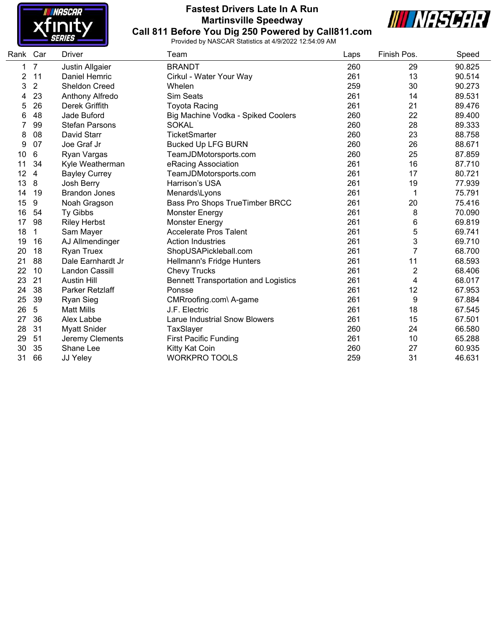

## **Fastest Drivers Late In A Run Martinsville Speedway Call 811 Before You Dig 250 Powered by Call811.com**



| Rank Car |                | <b>Driver</b>          | Team                                        | Laps | Finish Pos.    | Speed  |
|----------|----------------|------------------------|---------------------------------------------|------|----------------|--------|
| 1        | $\overline{7}$ | <b>Justin Allgaier</b> | <b>BRANDT</b>                               | 260  | 29             | 90.825 |
| 2        | 11             | <b>Daniel Hemric</b>   | Cirkul - Water Your Way                     | 261  | 13             | 90.514 |
| 3        | $\overline{2}$ | <b>Sheldon Creed</b>   | Whelen                                      | 259  | 30             | 90.273 |
| 4        | 23             | Anthony Alfredo        | <b>Sim Seats</b>                            | 261  | 14             | 89.531 |
| 5        | 26             | Derek Griffith         | <b>Toyota Racing</b>                        | 261  | 21             | 89.476 |
| 6        | 48             | Jade Buford            | Big Machine Vodka - Spiked Coolers          | 260  | 22             | 89.400 |
|          | 99             | <b>Stefan Parsons</b>  | <b>SOKAL</b>                                | 260  | 28             | 89.333 |
| 8        | 08             | David Starr            | <b>TicketSmarter</b>                        | 260  | 23             | 88.758 |
| 9        | 07             | Joe Graf Jr            | <b>Bucked Up LFG BURN</b>                   | 260  | 26             | 88.671 |
| 10       | 6              | Ryan Vargas            | TeamJDMotorsports.com                       | 260  | 25             | 87.859 |
| 11       | 34             | Kyle Weatherman        | eRacing Association                         | 261  | 16             | 87.710 |
| 12       | 4              | <b>Bayley Currey</b>   | TeamJDMotorsports.com                       | 261  | 17             | 80.721 |
| 13       | 8              | Josh Berry             | Harrison's USA                              | 261  | 19             | 77.939 |
| 14       | 19             | <b>Brandon Jones</b>   | Menards\Lyons                               | 261  | 1              | 75.791 |
| 15       | 9              | Noah Gragson           | <b>Bass Pro Shops TrueTimber BRCC</b>       | 261  | 20             | 75.416 |
| 16       | 54             | Ty Gibbs               | Monster Energy                              | 261  | 8              | 70.090 |
| 17       | 98             | <b>Riley Herbst</b>    | <b>Monster Energy</b>                       | 261  | 6              | 69.819 |
| 18       | 1              | Sam Mayer              | <b>Accelerate Pros Talent</b>               | 261  | 5              | 69.741 |
| 19       | 16             | AJ Allmendinger        | <b>Action Industries</b>                    | 261  | 3              | 69.710 |
| 20       | 18             | <b>Ryan Truex</b>      | ShopUSAPickleball.com                       | 261  | 7              | 68.700 |
| 21       | 88             | Dale Earnhardt Jr      | Hellmann's Fridge Hunters                   | 261  | 11             | 68.593 |
| 22       | 10             | Landon Cassill         | <b>Chevy Trucks</b>                         | 261  | $\overline{c}$ | 68.406 |
| 23       | 21             | <b>Austin Hill</b>     | <b>Bennett Transportation and Logistics</b> | 261  | 4              | 68.017 |
| 24       | 38             | Parker Retzlaff        | Ponsse                                      | 261  | 12             | 67.953 |
| 25       | 39             | <b>Ryan Sieg</b>       | CMRroofing.com\ A-game                      | 261  | 9              | 67.884 |
| 26       | 5              | <b>Matt Mills</b>      | J.F. Electric                               | 261  | 18             | 67.545 |
| 27       | 36             | Alex Labbe             | <b>Larue Industrial Snow Blowers</b>        | 261  | 15             | 67.501 |
| 28       | 31             | <b>Myatt Snider</b>    | TaxSlayer                                   | 260  | 24             | 66.580 |
| 29       | 51             | Jeremy Clements        | <b>First Pacific Funding</b>                | 261  | 10             | 65.288 |
| 30       | 35             | Shane Lee              | Kitty Kat Coin                              | 260  | 27             | 60.935 |
| 31       | 66             | JJ Yeley               | <b>WORKPRO TOOLS</b>                        | 259  | 31             | 46.631 |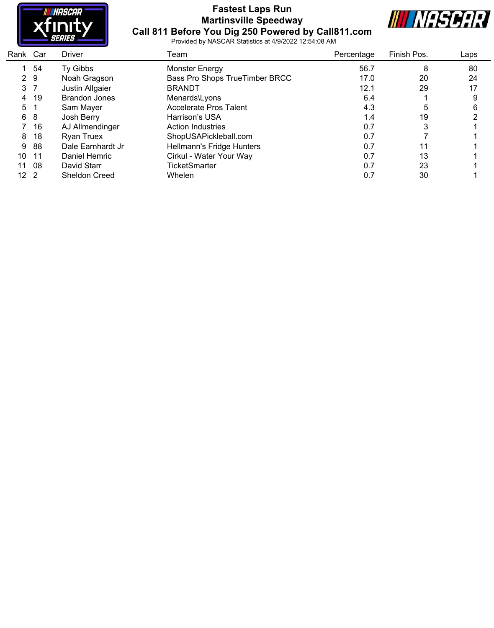

#### **Fastest Laps Run Martinsville Speedway Call 811 Before You Dig 250 Powered by Call811.com**



| Rank Car        |                | <b>Driver</b>        | Team                           | Percentage | Finish Pos. | Laps |
|-----------------|----------------|----------------------|--------------------------------|------------|-------------|------|
|                 | 54             | Ty Gibbs             | <b>Monster Energy</b>          | 56.7       | 8           | 80   |
|                 | 2 9            | Noah Gragson         | Bass Pro Shops TrueTimber BRCC | 17.0       | 20          | 24   |
|                 | 3 <sub>7</sub> | Justin Allgaier      | <b>BRANDT</b>                  | 12.1       | 29          | 17   |
|                 | 4 19           | <b>Brandon Jones</b> | Menards\Lyons                  | 6.4        |             | 9    |
| 5 1             |                | Sam Mayer            | <b>Accelerate Pros Talent</b>  | 4.3        | 5           | 6    |
|                 | 6 8            | Josh Berry           | Harrison's USA                 | 1.4        | 19          |      |
|                 | 7 16           | AJ Allmendinger      | Action Industries              | 0.7        |             |      |
| 8               | 18             | <b>Ryan Truex</b>    | ShopUSAPickleball.com          | 0.7        |             |      |
| 9               | 88             | Dale Earnhardt Jr    | Hellmann's Fridge Hunters      | 0.7        | 11          |      |
| 10              | $-11$          | Daniel Hemric        | Cirkul - Water Your Way        | 0.7        | 13          |      |
| 11              | 08             | David Starr          | <b>TicketSmarter</b>           | 0.7        | 23          |      |
| 12 <sub>2</sub> |                | <b>Sheldon Creed</b> | Whelen                         | 0.7        | 30          |      |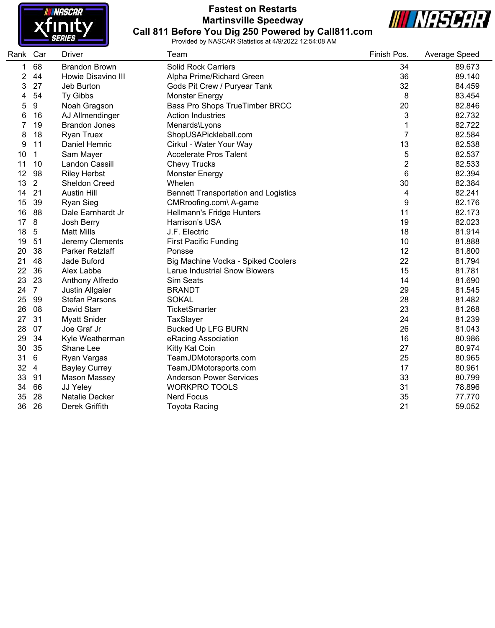

#### **Fastest on Restarts Martinsville Speedway Call 811 Before You Dig 250 Powered by Call811.com**



| Rank Car |                | Driver                | Team                                        | Finish Pos.    | Average Speed |
|----------|----------------|-----------------------|---------------------------------------------|----------------|---------------|
| 1        | 68             | <b>Brandon Brown</b>  | <b>Solid Rock Carriers</b>                  | 34             | 89.673        |
| 2        | 44             | Howie Disavino III    | Alpha Prime/Richard Green                   | 36             | 89.140        |
| 3        | 27             | Jeb Burton            | Gods Pit Crew / Puryear Tank                | 32             | 84.459        |
| 4        | 54             | Ty Gibbs              | <b>Monster Energy</b>                       | 8              | 83.454        |
| 5        | 9              | Noah Gragson          | Bass Pro Shops TrueTimber BRCC              | 20             | 82.846        |
| 6        | 16             | AJ Allmendinger       | <b>Action Industries</b>                    | 3              | 82.732        |
| 7        | 19             | <b>Brandon Jones</b>  | Menards\Lyons                               | 1              | 82.722        |
| 8        | 18             | <b>Ryan Truex</b>     | ShopUSAPickleball.com                       | $\overline{7}$ | 82.584        |
| 9        | 11             | Daniel Hemric         | Cirkul - Water Your Way                     | 13             | 82.538        |
| 10       | 1              | Sam Mayer             | <b>Accelerate Pros Talent</b>               | 5              | 82.537        |
| 11       | 10             | Landon Cassill        | <b>Chevy Trucks</b>                         | $\overline{c}$ | 82.533        |
| 12       | 98             | <b>Riley Herbst</b>   | <b>Monster Energy</b>                       | 6              | 82.394        |
| 13       | $\overline{2}$ | <b>Sheldon Creed</b>  | Whelen                                      | 30             | 82.384        |
| 14       | 21             | <b>Austin Hill</b>    | <b>Bennett Transportation and Logistics</b> | 4              | 82.241        |
| 15       | 39             | Ryan Sieg             | CMRroofing.com\ A-game                      | 9              | 82.176        |
| 16       | 88             | Dale Earnhardt Jr     | Hellmann's Fridge Hunters                   | 11             | 82.173        |
| 17       | 8              | Josh Berry            | Harrison's USA                              | 19             | 82.023        |
| 18       | $\overline{5}$ | <b>Matt Mills</b>     | J.F. Electric                               | 18             | 81.914        |
| 19       | 51             | Jeremy Clements       | <b>First Pacific Funding</b>                | 10             | 81.888        |
| 20       | 38             | Parker Retzlaff       | Ponsse                                      | 12             | 81.800        |
| 21       | 48             | Jade Buford           | Big Machine Vodka - Spiked Coolers          | 22             | 81.794        |
| 22       | 36             | Alex Labbe            | <b>Larue Industrial Snow Blowers</b>        | 15             | 81.781        |
| 23       | 23             | Anthony Alfredo       | Sim Seats                                   | 14             | 81.690        |
| 24       | $\overline{7}$ | Justin Allgaier       | <b>BRANDT</b>                               | 29             | 81.545        |
| 25       | 99             | <b>Stefan Parsons</b> | <b>SOKAL</b>                                | 28             | 81.482        |
| 26       | 08             | David Starr           | <b>TicketSmarter</b>                        | 23             | 81.268        |
| 27       | 31             | <b>Myatt Snider</b>   | TaxSlayer                                   | 24             | 81.239        |
| 28       | 07             | Joe Graf Jr           | <b>Bucked Up LFG BURN</b>                   | 26             | 81.043        |
| 29       | 34             | Kyle Weatherman       | eRacing Association                         | 16             | 80.986        |
| 30       | 35             | Shane Lee             | Kitty Kat Coin                              | 27             | 80.974        |
| 31       | 6              | Ryan Vargas           | TeamJDMotorsports.com                       | 25             | 80.965        |
| 32       | $\overline{4}$ | <b>Bayley Currey</b>  | TeamJDMotorsports.com                       | 17             | 80.961        |
| 33       | 91             | <b>Mason Massey</b>   | <b>Anderson Power Services</b>              | 33             | 80.799        |
| 34       | 66             | JJ Yeley              | <b>WORKPRO TOOLS</b>                        | 31             | 78.896        |
| 35       | 28             | Natalie Decker        | <b>Nerd Focus</b>                           | 35             | 77.770        |
| 36       | 26             | Derek Griffith        | <b>Toyota Racing</b>                        | 21             | 59.052        |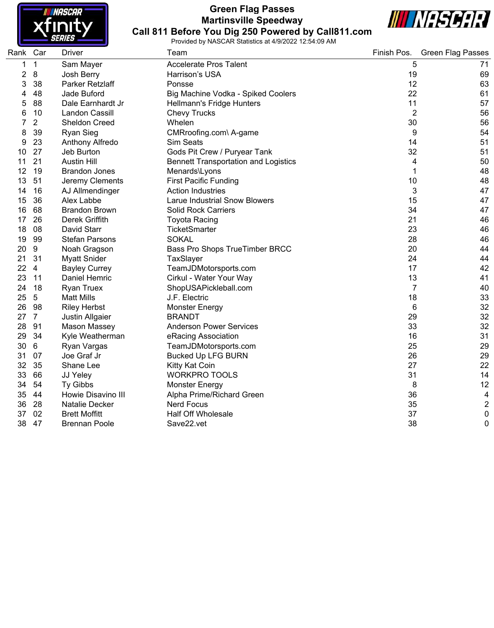

#### **Green Flag Passes Martinsville Speedway Call 811 Before You Dig 250 Powered by Call811.com**



| Rank | Car             | <b>Driver</b>         | Team                                        | Finish Pos.    | <b>Green Flag Passes</b> |
|------|-----------------|-----------------------|---------------------------------------------|----------------|--------------------------|
| 1    | $\mathbf{1}$    | Sam Mayer             | <b>Accelerate Pros Talent</b>               | 5              | 71                       |
| 2    | 8               | Josh Berry            | Harrison's USA                              | 19             | 69                       |
| 3    | 38              | Parker Retzlaff       | Ponsse                                      | 12             | 63                       |
| 4    | 48              | Jade Buford           | Big Machine Vodka - Spiked Coolers          | 22             | 61                       |
| 5    | 88              | Dale Earnhardt Jr     | Hellmann's Fridge Hunters                   | 11             | 57                       |
| 6    | 10              | <b>Landon Cassill</b> | <b>Chevy Trucks</b>                         | $\overline{2}$ | 56                       |
| 7    | $\overline{2}$  | Sheldon Creed         | Whelen                                      | 30             | 56                       |
| 8    | 39              | <b>Ryan Sieg</b>      | CMRroofing.com\ A-game                      | 9              | 54                       |
| 9    | 23              | Anthony Alfredo       | Sim Seats                                   | 14             | 51                       |
| 10   | 27              | Jeb Burton            | Gods Pit Crew / Puryear Tank                | 32             | 51                       |
| 11   | 21              | <b>Austin Hill</b>    | <b>Bennett Transportation and Logistics</b> | 4              | 50                       |
| 12   | 19              | <b>Brandon Jones</b>  | Menards\Lyons                               | 1              | 48                       |
| 13   | 51              | Jeremy Clements       | <b>First Pacific Funding</b>                | 10             | 48                       |
| 14   | 16              | AJ Allmendinger       | <b>Action Industries</b>                    | 3              | 47                       |
| 15   | 36              | Alex Labbe            | <b>Larue Industrial Snow Blowers</b>        | 15             | 47                       |
| 16   | 68              | <b>Brandon Brown</b>  | <b>Solid Rock Carriers</b>                  | 34             | 47                       |
| 17   | 26              | Derek Griffith        | <b>Toyota Racing</b>                        | 21             | 46                       |
| 18   | 08              | David Starr           | TicketSmarter                               | 23             | 46                       |
| 19   | 99              | <b>Stefan Parsons</b> | <b>SOKAL</b>                                | 28             | 46                       |
| 20   | 9               | Noah Gragson          | Bass Pro Shops TrueTimber BRCC              | 20             | 44                       |
| 21   | 31              | <b>Myatt Snider</b>   | TaxSlayer                                   | 24             | 44                       |
| 22   | 4               | <b>Bayley Currey</b>  | TeamJDMotorsports.com                       | 17             | 42                       |
| 23   | 11              | Daniel Hemric         | Cirkul - Water Your Way                     | 13             | 41                       |
| 24   | 18              | <b>Ryan Truex</b>     | ShopUSAPickleball.com                       | 7              | 40                       |
| 25   | $5\phantom{.0}$ | <b>Matt Mills</b>     | J.F. Electric                               | 18             | 33                       |
| 26   | 98              | <b>Riley Herbst</b>   | <b>Monster Energy</b>                       | 6              | 32                       |
| 27   | $\overline{7}$  | Justin Allgaier       | <b>BRANDT</b>                               | 29             | 32                       |
| 28   | 91              | Mason Massey          | <b>Anderson Power Services</b>              | 33             | 32                       |
| 29   | 34              | Kyle Weatherman       | eRacing Association                         | 16             | 31                       |
| 30   | 6               | Ryan Vargas           | TeamJDMotorsports.com                       | 25             | 29                       |
| 31   | 07              | Joe Graf Jr           | <b>Bucked Up LFG BURN</b>                   | 26             | 29                       |
| 32   | 35              | Shane Lee             | Kitty Kat Coin                              | 27             | 22                       |
| 33   | 66              | JJ Yeley              | <b>WORKPRO TOOLS</b>                        | 31             | 14                       |
| 34   | 54              | Ty Gibbs              | <b>Monster Energy</b>                       | 8              | 12                       |
| 35   | 44              | Howie Disavino III    | Alpha Prime/Richard Green                   | 36             | 4                        |
| 36   | 28              | Natalie Decker        | <b>Nerd Focus</b>                           | 35             | $\overline{2}$           |
| 37   | 02              | <b>Brett Moffitt</b>  | Half Off Wholesale                          | 37             | $\mathbf 0$              |
| 38   | 47              | <b>Brennan Poole</b>  | Save22.vet                                  | 38             | $\mathbf 0$              |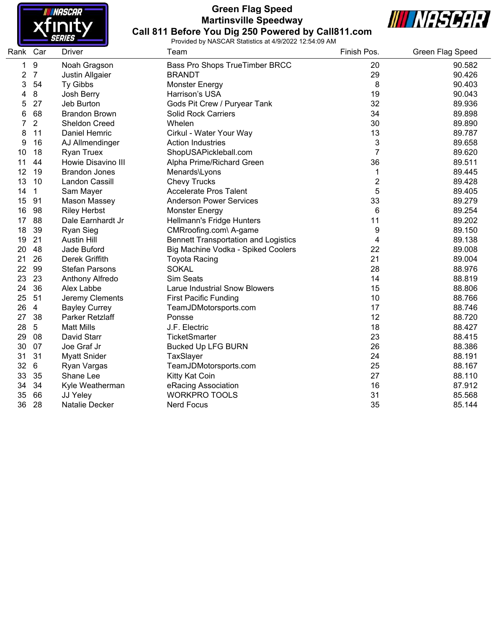

#### **Green Flag Speed Martinsville Speedway Call 811 Before You Dig 250 Powered by Call811.com**



|          |                  |                       | Flovided by INASCAIN Statistics at 4/9/2022 T2.04.09 AIVI |                |                  |
|----------|------------------|-----------------------|-----------------------------------------------------------|----------------|------------------|
| Rank Car |                  | <b>Driver</b>         | Team                                                      | Finish Pos.    | Green Flag Speed |
| 1        | $\boldsymbol{9}$ | Noah Gragson          | Bass Pro Shops TrueTimber BRCC                            | 20             | 90.582           |
| 2        | $\overline{7}$   | Justin Allgaier       | <b>BRANDT</b>                                             | 29             | 90.426           |
| 3        | 54               | Ty Gibbs              | <b>Monster Energy</b>                                     | 8              | 90.403           |
| 4        | 8                | Josh Berry            | Harrison's USA                                            | 19             | 90.043           |
| 5        | 27               | Jeb Burton            | Gods Pit Crew / Puryear Tank                              | 32             | 89.936           |
| 6        | 68               | <b>Brandon Brown</b>  | <b>Solid Rock Carriers</b>                                | 34             | 89.898           |
| 7        | 2                | Sheldon Creed         | Whelen                                                    | 30             | 89.890           |
| 8        | 11               | Daniel Hemric         | Cirkul - Water Your Way                                   | 13             | 89.787           |
| 9        | 16               | AJ Allmendinger       | <b>Action Industries</b>                                  | 3              | 89.658           |
| 10       | 18               | <b>Ryan Truex</b>     | ShopUSAPickleball.com                                     | 7              | 89.620           |
| 11       | 44               | Howie Disavino III    | Alpha Prime/Richard Green                                 | 36             | 89.511           |
| 12       | 19               | <b>Brandon Jones</b>  | Menards\Lyons                                             | 1              | 89.445           |
| 13       | 10               | Landon Cassill        | <b>Chevy Trucks</b>                                       | $\overline{2}$ | 89.428           |
| 14       | 1                | Sam Mayer             | <b>Accelerate Pros Talent</b>                             | 5              | 89.405           |
| 15       | 91               | Mason Massey          | <b>Anderson Power Services</b>                            | 33             | 89.279           |
| 16       | 98               | <b>Riley Herbst</b>   | Monster Energy                                            | 6              | 89.254           |
| 17       | 88               | Dale Earnhardt Jr     | Hellmann's Fridge Hunters                                 | 11             | 89.202           |
| 18       | 39               | Ryan Sieg             | CMRroofing.com\ A-game                                    | 9              | 89.150           |
| 19       | 21               | <b>Austin Hill</b>    | <b>Bennett Transportation and Logistics</b>               | $\overline{4}$ | 89.138           |
| 20       | 48               | Jade Buford           | Big Machine Vodka - Spiked Coolers                        | 22             | 89.008           |
| 21       | 26               | Derek Griffith        | <b>Toyota Racing</b>                                      | 21             | 89.004           |
| 22       | 99               | <b>Stefan Parsons</b> | <b>SOKAL</b>                                              | 28             | 88.976           |
| 23       | 23               | Anthony Alfredo       | <b>Sim Seats</b>                                          | 14             | 88.819           |
| 24       | 36               | Alex Labbe            | Larue Industrial Snow Blowers                             | 15             | 88.806           |
| 25       | 51               | Jeremy Clements       | <b>First Pacific Funding</b>                              | 10             | 88.766           |
| 26       | $\overline{4}$   | <b>Bayley Currey</b>  | TeamJDMotorsports.com                                     | 17             | 88.746           |
| 27       | 38               | Parker Retzlaff       | Ponsse                                                    | 12             | 88.720           |
| 28       | $5\,$            | <b>Matt Mills</b>     | J.F. Electric                                             | 18             | 88.427           |
| 29       | 08               | David Starr           | <b>TicketSmarter</b>                                      | 23             | 88.415           |
| 30       | 07               | Joe Graf Jr           | <b>Bucked Up LFG BURN</b>                                 | 26             | 88.386           |
| 31       | 31               | <b>Myatt Snider</b>   | TaxSlayer                                                 | 24             | 88.191           |
| 32       | $6\phantom{1}6$  | Ryan Vargas           | TeamJDMotorsports.com                                     | 25             | 88.167           |
| 33       | 35               | Shane Lee             | Kitty Kat Coin                                            | 27             | 88.110           |
| 34       | 34               | Kyle Weatherman       | eRacing Association                                       | 16             | 87.912           |
| 35       | 66               | JJ Yeley              | <b>WORKPRO TOOLS</b>                                      | 31             | 85.568           |
| 36       | 28               | Natalie Decker        | <b>Nerd Focus</b>                                         | 35             | 85.144           |
|          |                  |                       |                                                           |                |                  |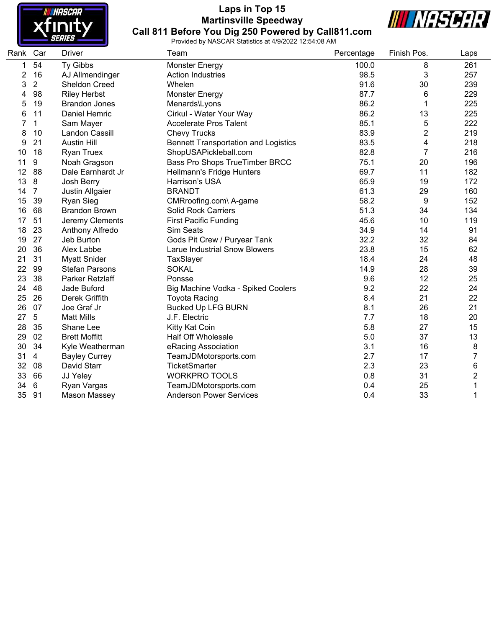

## **Laps in Top 15 Martinsville Speedway Call 811 Before You Dig 250 Powered by Call811.com**





| Rank Car       |                | <b>Driver</b>         | Team                                        | Percentage | Finish Pos.    | Laps                    |
|----------------|----------------|-----------------------|---------------------------------------------|------------|----------------|-------------------------|
|                | 54             | Ty Gibbs              | <b>Monster Energy</b>                       | 100.0      | 8              | 261                     |
| $\overline{2}$ | 16             | AJ Allmendinger       | <b>Action Industries</b>                    | 98.5       | 3              | 257                     |
| 3              | $\overline{2}$ | <b>Sheldon Creed</b>  | Whelen                                      | 91.6       | 30             | 239                     |
| 4              | 98             | <b>Riley Herbst</b>   | <b>Monster Energy</b>                       | 87.7       | 6              | 229                     |
| 5              | 19             | <b>Brandon Jones</b>  | Menards\Lyons                               | 86.2       | 1              | 225                     |
| 6              | 11             | Daniel Hemric         | Cirkul - Water Your Way                     | 86.2       | 13             | 225                     |
|                | 1              | Sam Mayer             | <b>Accelerate Pros Talent</b>               | 85.1       | 5              | 222                     |
| 8              | 10             | Landon Cassill        | <b>Chevy Trucks</b>                         | 83.9       | $\overline{2}$ | 219                     |
| 9              | 21             | <b>Austin Hill</b>    | <b>Bennett Transportation and Logistics</b> | 83.5       | 4              | 218                     |
| 10             | 18             | <b>Ryan Truex</b>     | ShopUSAPickleball.com                       | 82.8       | $\overline{7}$ | 216                     |
| 11             | 9              | Noah Gragson          | Bass Pro Shops TrueTimber BRCC              | 75.1       | 20             | 196                     |
| 12             | 88             | Dale Earnhardt Jr     | Hellmann's Fridge Hunters                   | 69.7       | 11             | 182                     |
| 13             | 8              | Josh Berry            | Harrison's USA                              | 65.9       | 19             | 172                     |
| 14             | $\overline{7}$ | Justin Allgaier       | <b>BRANDT</b>                               | 61.3       | 29             | 160                     |
| 15             | 39             | <b>Ryan Sieg</b>      | CMRroofing.com\ A-game                      | 58.2       | 9              | 152                     |
| 16             | 68             | <b>Brandon Brown</b>  | <b>Solid Rock Carriers</b>                  | 51.3       | 34             | 134                     |
| 17             | 51             | Jeremy Clements       | <b>First Pacific Funding</b>                | 45.6       | 10             | 119                     |
| 18             | 23             | Anthony Alfredo       | Sim Seats                                   | 34.9       | 14             | 91                      |
| 19             | 27             | Jeb Burton            | Gods Pit Crew / Puryear Tank                | 32.2       | 32             | 84                      |
| 20             | 36             | Alex Labbe            | <b>Larue Industrial Snow Blowers</b>        | 23.8       | 15             | 62                      |
| 21             | 31             | <b>Myatt Snider</b>   | TaxSlayer                                   | 18.4       | 24             | 48                      |
| 22             | 99             | <b>Stefan Parsons</b> | <b>SOKAL</b>                                | 14.9       | 28             | 39                      |
| 23             | 38             | Parker Retzlaff       | Ponsse                                      | 9.6        | 12             | 25                      |
| 24             | 48             | Jade Buford           | Big Machine Vodka - Spiked Coolers          | 9.2        | 22             | 24                      |
| 25             | 26             | Derek Griffith        | <b>Toyota Racing</b>                        | 8.4        | 21             | 22                      |
| 26             | 07             | Joe Graf Jr           | <b>Bucked Up LFG BURN</b>                   | 8.1        | 26             | 21                      |
| 27             | 5              | <b>Matt Mills</b>     | J.F. Electric                               | 7.7        | 18             | 20                      |
| 28             | 35             | Shane Lee             | Kitty Kat Coin                              | 5.8        | 27             | 15                      |
| 29             | 02             | <b>Brett Moffitt</b>  | <b>Half Off Wholesale</b>                   | $5.0$      | 37             | 13                      |
| 30             | 34             | Kyle Weatherman       | eRacing Association                         | 3.1        | 16             | 8                       |
| 31             | 4              | <b>Bayley Currey</b>  | TeamJDMotorsports.com                       | 2.7        | 17             | 7                       |
| 32             | 08             | David Starr           | TicketSmarter                               | 2.3        | 23             | 6                       |
| 33             | 66             | JJ Yeley              | <b>WORKPRO TOOLS</b>                        | 0.8        | 31             | $\overline{\mathbf{c}}$ |
| 34             | $\,6$          | Ryan Vargas           | TeamJDMotorsports.com                       | 0.4        | 25             | 1                       |
| 35             | 91             | Mason Massey          | <b>Anderson Power Services</b>              | 0.4        | 33             | 1                       |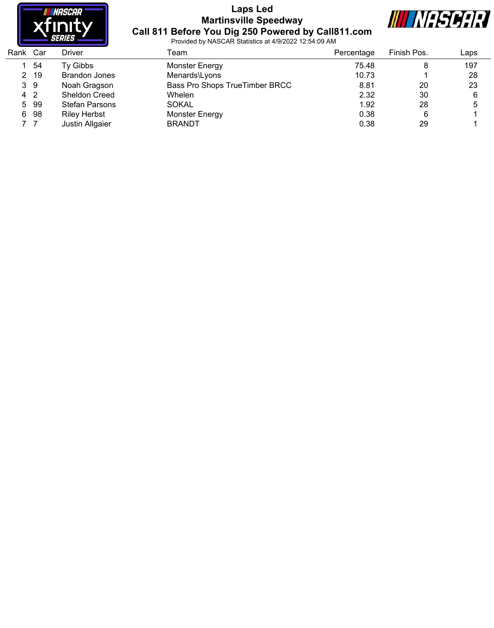

#### **Laps Led Martinsville Speedway Call 811 Before You Dig 250 Powered by Call811.com**



| Rank Car |     | Driver                | Team                           | Percentage | Finish Pos. | Laps |
|----------|-----|-----------------------|--------------------------------|------------|-------------|------|
|          | 54  | Ty Gibbs              | <b>Monster Energy</b>          | 75.48      |             | 197  |
| 2        | -19 | <b>Brandon Jones</b>  | Menards\Lyons                  | 10.73      |             | 28   |
| 39       |     | Noah Gragson          | Bass Pro Shops TrueTimber BRCC | 8.81       | 20          | 23   |
| 4 2      |     | Sheldon Creed         | Whelen                         | 2.32       | 30          | 6    |
| 5        | 99  | <b>Stefan Parsons</b> | <b>SOKAL</b>                   | 1.92       | 28          | 5    |
| 6        | 98  | <b>Riley Herbst</b>   | <b>Monster Energy</b>          | 0.38       |             |      |
|          |     | Justin Allgaier       | <b>BRANDT</b>                  | 0.38       | 29          |      |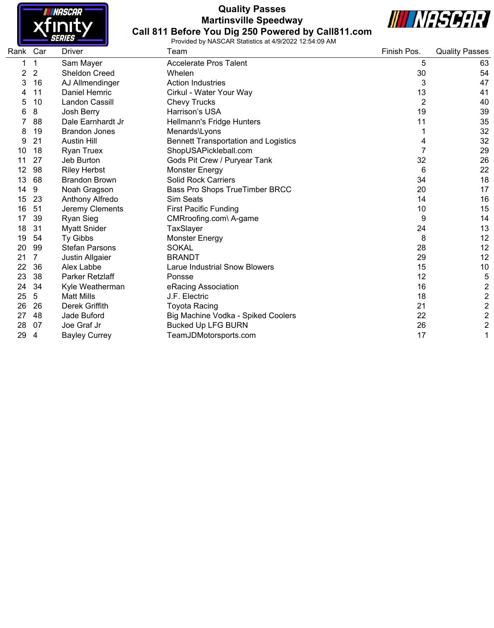

#### **Quality Passes Martinsville Speedway Call 811 Before You Dig 250 Powered by Call811.com**



| Rank Car |                | <b>Driver</b>         | Team                                        | Finish Pos.    | <b>Quality Passes</b>   |
|----------|----------------|-----------------------|---------------------------------------------|----------------|-------------------------|
|          | 1              | Sam Mayer             | <b>Accelerate Pros Talent</b>               | 5              | 63                      |
| 2        | $\overline{2}$ | <b>Sheldon Creed</b>  | Whelen                                      | 30             | 54                      |
| 3        | 16             | AJ Allmendinger       | <b>Action Industries</b>                    | 3              | 47                      |
|          | 11             | Daniel Hemric         | Cirkul - Water Your Way                     | 13             | 41                      |
| 5        | 10             | Landon Cassill        | <b>Chevy Trucks</b>                         | $\overline{2}$ | 40                      |
| 6        | 8              | Josh Berry            | Harrison's USA                              | 19             | 39                      |
|          | 88             | Dale Earnhardt Jr     | Hellmann's Fridge Hunters                   | 11             | 35                      |
| 8        | 19             | <b>Brandon Jones</b>  | Menards\Lyons                               |                | 32                      |
| 9        | 21             | <b>Austin Hill</b>    | <b>Bennett Transportation and Logistics</b> | 4              | 32                      |
| 10       | 18             | <b>Ryan Truex</b>     | ShopUSAPickleball.com                       | $\overline{7}$ | 29                      |
| 11       | 27             | Jeb Burton            | Gods Pit Crew / Puryear Tank                | 32             | 26                      |
| 12       | 98             | <b>Riley Herbst</b>   | <b>Monster Energy</b>                       | 6              | 22                      |
| 13       | 68             | <b>Brandon Brown</b>  | <b>Solid Rock Carriers</b>                  | 34             | 18                      |
| 14       | 9              | Noah Gragson          | Bass Pro Shops TrueTimber BRCC              | 20             | 17                      |
| 15       | 23             | Anthony Alfredo       | Sim Seats                                   | 14             | 16                      |
| 16       | 51             | Jeremy Clements       | <b>First Pacific Funding</b>                | 10             | 15                      |
| 17       | 39             | <b>Ryan Sieg</b>      | CMRroofing.com\ A-game                      | 9              | 14                      |
| 18       | 31             | <b>Myatt Snider</b>   | TaxSlayer                                   | 24             | 13                      |
| 19       | 54             | <b>Ty Gibbs</b>       | <b>Monster Energy</b>                       | 8              | 12                      |
| 20       | 99             | <b>Stefan Parsons</b> | <b>SOKAL</b>                                | 28             | 12                      |
| 21       | 7              | Justin Allgaier       | <b>BRANDT</b>                               | 29             | 12                      |
| 22       | 36             | Alex Labbe            | <b>Larue Industrial Snow Blowers</b>        | 15             | 10                      |
| 23       | 38             | Parker Retzlaff       | Ponsse                                      | 12             | 5                       |
| 24       | 34             | Kyle Weatherman       | eRacing Association                         | 16             | $\overline{\mathbf{c}}$ |
| 25       | 5              | <b>Matt Mills</b>     | J.F. Electric                               | 18             | $\overline{\mathbf{c}}$ |
| 26       | 26             | Derek Griffith        | Toyota Racing                               | 21             | $\overline{c}$          |
| 27       | 48             | Jade Buford           | Big Machine Vodka - Spiked Coolers          | 22             | $\overline{c}$          |
| 28       | 07             | Joe Graf Jr           | <b>Bucked Up LFG BURN</b>                   | 26             | $\overline{c}$          |
| 29       | 4              | <b>Bayley Currey</b>  | TeamJDMotorsports.com                       | 17             | $\mathbf{1}$            |